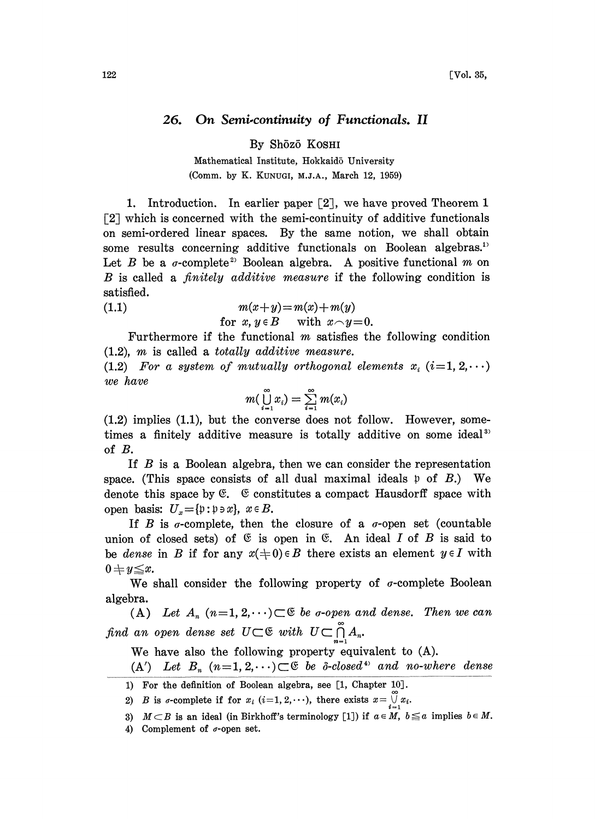## 26. On Semi-continuity of Functionals. II

By Shōzō Koshi

Mathematical Institute, Hokkaidō University (Comm. by K. KUNUGI, NI.J.A., March 12, 1959)

1. Introduction. In earlier paper  $\lceil 2 \rceil$ , we have proved Theorem 1  $\lceil 2 \rceil$  which is concerned with the semi-continuity of additive functionals on semi-ordered linear spaces. By the same notion, we shall obtain some results concerning additive functionals on Boolean algebras.<sup>1</sup> Let B be a  $\sigma$ -complete<sup>2</sup> Boolean algebra. A positive functional m on B is called a *finitely additive measure* if the following condition is satisfied.

(1.1)  $m(x+y)=m(x)+m(y)$ 

for 
$$
x, y \in B
$$
 with  $x \frown y = 0$ .

Furthermore if the functional  $m$  satisfies the following condition (1.2), m is called <sup>a</sup> totally additive measure.

(1.2) For a system of mutually orthogonal elements  $x_i$  (i=1, 2,  $\cdots$ ) we have

$$
m(\bigcup_{i=1}^{\infty}x_i)=\sum_{i=1}^{\infty}m(x_i)
$$

(1.2) implies (1.1), but the converse does not follow. However, sometimes a finitely additive measure is totally additive on some ideal<sup>33</sup> of B.

If B is <sup>a</sup> Boolean algebra, then we can consider the representation space. (This space consists of all dual maximal ideals  $\mathfrak p$  of  $B$ .) We denote this space by  $\mathfrak{E}$ .  $\mathfrak{E}$  constitutes a compact Hausdorff space with open basis:  $U_x = \{ \mathfrak{p} : \mathfrak{p} \ni x \}, x \in B$ .

If B is  $\sigma$ -complete, then the closure of a  $\sigma$ -open set (countable union of closed sets) of  $\mathfrak G$  is open in  $\mathfrak G$ . An ideal I of B is said to be dense in B if for any  $x(0) \in B$  there exists an element  $y \in I$  with  $0+y\leq x.$ 

We shall consider the following property of  $\sigma$ -complete Boolean algebra.

(A) Let  $A_n$   $(n=1, 2, \dots) \subset \mathfrak{S}$  be *a*-open and dense. Then we can find an open dense set  $U\subset \mathfrak{S}$  with  $U\subset \bigcap_{n=1}^{\infty} A_n$ .

We have also the following property equivalent to (A).

 $(A')$  Let  $B_n$   $(n=1,2,\dots)\subset\mathfrak{E}$  be  $\delta$ -closed<sup>4</sup> and no-where dense

1) For the definition of Boolean algebra, see [1, Chapter 10J.

2) B is  $\sigma$ -complete if for  $x_i$  (i=1, 2,...), there exists  $x = \bigcup_{i=1}^{n} x_i$ .

- 3)  $M \subset B$  is an ideal (in Birkhoff's terminology [1]) if  $a \in M$ ,  $b \le a$  implies  $b \in M$ .
- 4) Complement of  $\sigma$ -open set.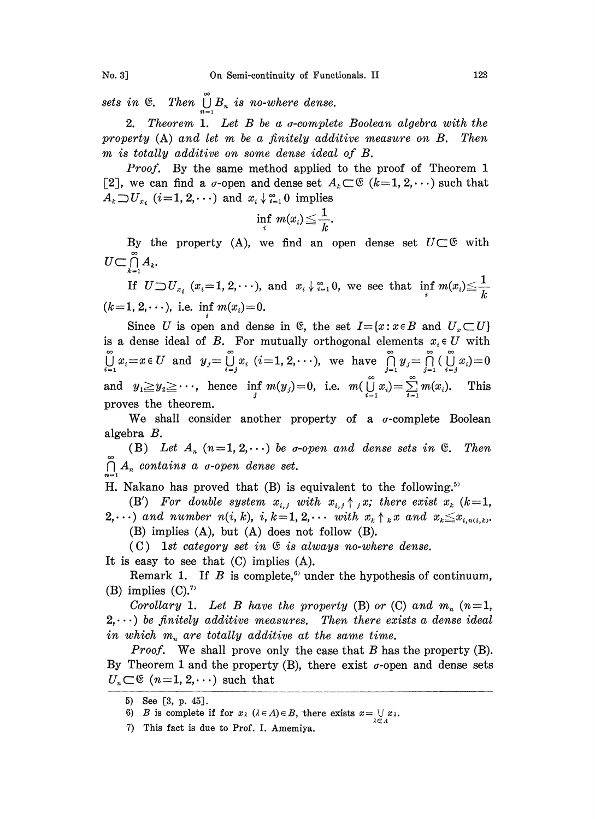No. 3\_] On Semi-continuity of Functionals. II 123

sets in  $\mathfrak{E}$ . Then  $\bigcup_{n=1}^{\infty} B_n$  is no-where dense.

2. Theorem 1. Let B be a *a*-complete Boolean algebra with the property  $(A)$  and let m be a finitely additive measure on  $B$ . Then m is totally additive on some dense ideal of B.

Proof. By the same method applied to the proof of Theorem 1 [2], we can find a  $\sigma$ -open and dense set  $A_k \subset \mathfrak{E}$   $(k=1, 2, \cdots)$  such that  $A_k \supset U_{x_i}$  ( $i=1, 2, \cdots$ ) and  $x_i \downarrow_{i=1}^{\infty} 0$  implies

$$
\inf_i \ m(x_i) \!\leq\! \frac{1}{k}.
$$

By the property (A), we find an open dense set  $U \subset \mathfrak{G}$  with  $U\!\subset\!\bigcap\limits_{k=1}^\infty A_k.$ 

If  $U \supset U_{x_i}$   $(x_i=1,2,\cdots)$ , and  $x_i \downarrow_{i=1}^{\infty} 0$ , we see that  $\inf_i m(x_i) \leq \frac{1}{k}$  $(k=1, 2, \dots),$  i.e. inf  $m(x_i)=0$ .

Since U is open and dense in  $\mathfrak{E}$ , the set  $I = \{x : x \in B \text{ and } U_x \subset U\}$ is a dense ideal of B. For mutually orthogonal elements  $x_i \in U$  with  $\bigcup_{i=1}^{\infty} x_i = x \in U$  and  $y_j = \bigcup_{i=j}^{\infty} x_i$   $(i=1,2,\cdots)$ , we have  $\bigcap_{j=1}^{\infty} y_j = \bigcap_{j=1}^{\infty} \bigcup_{i=j}^{\infty} x_i$   $= 0$ and  $y_1 \ge y_2 \ge \cdots$ , hence inf  $m(y_j)=0$ , i.e.  $m(\bigcup_{i=1}^{\infty} x_i)=\sum_{i=1}^{\infty} m(x_i)$ . This proves the theorem.

We shall consider another property of a  $\sigma$ -complete Boolean algebra B.

(B) Let  $A_n$   $(n=1, 2, \dots)$  be *o*-open and dense sets in  $\mathfrak{E}$ . Then  $\bigcap_{n=1}^{\infty} A_n$  contains a *o*-open dense set.

H. Nakano has proved that  $(B)$  is equivalent to the following.<sup>57</sup>

(B') For double system  $x_{i,j}$  with  $x_{i,j} \uparrow j x$ ; there exist  $x_k$  (k=1,

 $2,\cdots$ ) and number  $n(i,k)$ , i,  $k=1, 2,\cdots$  with  $x_k \uparrow_k x$  and  $x_k \leq x_{i,n(i,k)}$ . (B) implies (A), but (A) does not follow (B).

(C) 1st category set in  $\mathfrak{E}$  is always no-where dense.

It is easy to see that (C) implies (A).

Remark 1. If  $B$  is complete,<sup>6)</sup> under the hypothesis of continuum, (B) implies  $(C)$ .<sup>7</sup>

Corollary 1. Let B have the property (B) or (C) and  $m_n$  (n=1,  $2, \dots$ ) be finitely additive measures. Then there exists a dense ideal in which  $m_n$  are totally additive at the same time.

*Proof.* We shall prove only the case that  $B$  has the property  $(B)$ . By Theorem 1 and the property (B), there exist  $\sigma$ -open and dense sets  $U_n \subset \mathfrak{E}$  (n=1, 2,...) such that

<sup>5)</sup> See [3, p. 45].

<sup>6)</sup> B is complete if for  $x_{\lambda}$  ( $\lambda \in \Lambda$ )  $\in B$ , there exists  $x = \bigcup_{\lambda \in \Lambda} x_{\lambda}$ .

<sup>7)</sup> This fact is due to Prof. I. Amemiya.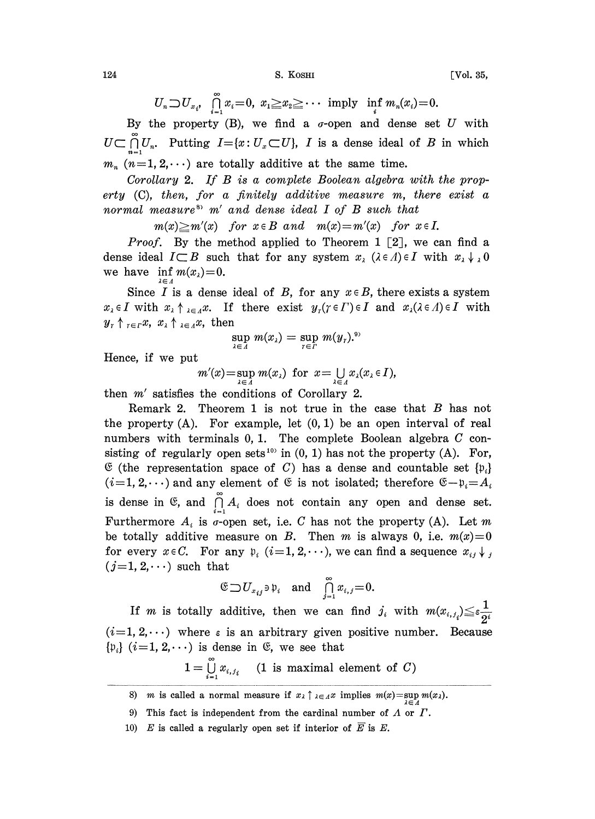124 **S. KOSHI** [Vol. 35,

 $U_n \supset U_{x_i}$ ,  $\bigcap_{i=1}^{\infty} x_i = 0$ ,  $x_1 \ge x_2 \ge \cdots$  imply inf  $m_n(x_i) = 0$ .

By the property (B), we find a  $\sigma$ -open and dense set U with  $U \subset \bigcap_{n=1}^{\infty} U_n$ . Putting  $I = \{x: U_x \subset U\}$ , I is a dense ideal of B in which  $m_n$  (n=1, 2,...) are totally additive at the same time.

Corollary 2. If B is <sup>a</sup> complete Boolean algebra with the property (C), then, for a finitely additive measure m, there exist a normal measure<sup>8</sup>  $m'$  and dense ideal I of B such that

 $m(x) \geq m'(x)$  for  $x \in B$  and  $m(x)=m'(x)$  for  $x \in I$ .

*Proof.* By the method applied to Theorem 1 [2], we can find a dense ideal  $I\subset B$  such that for any system  $x_{\lambda}$  ( $\lambda \in A$ ) $\in I$  with  $x_{\lambda} \downarrow 0$ we have  $\inf_{\lambda \in \Lambda} m(x_{\lambda}) = 0.$ 

Since I is a dense ideal of B, for any  $x \in B$ , there exists a system  $x_{\lambda} \in I$  with  $x_{\lambda} \uparrow_{\lambda \in A} x$ . If there exist  $y_{\tau}(\tau \in \Gamma) \in I$  and  $x_{\lambda}(\lambda \in \Lambda) \in I$  with  $y_r \uparrow_{r \in r} x$ ,  $x_{\lambda} \uparrow_{\lambda \in A} x$ , then

$$
\sup_{\lambda\in\Lambda}m(x_{\lambda})=\sup_{\tau\in\Gamma}m(y_{\tau}).^{\mathfrak{g}_{\lambda}}
$$

Hence, if we put

 $m'(x) = \sup_{\lambda \in \Lambda} m(x_{\lambda})$  for  $x = \bigcup_{\lambda \in \Lambda} x_{\lambda}(x_{\lambda} \in I),$ 

then m' satisfies the conditions of Corollary 2.

Remark 2. Theorem 1 is not true in the case that  $B$  has not the property  $(A)$ . For example, let  $(0, 1)$  be an open interval of real numbers with terminals 0, 1. The complete Boolean algebra C consisting of regularly open sets<sup>10)</sup> in  $(0, 1)$  has not the property  $(A)$ . For,  $\mathfrak{E}$  (the representation space of C) has a dense and countable set  $\{p_i\}$  $(i=1, 2, \dots)$  and any element of  $\mathfrak{E}$  is not isolated; therefore  $\mathfrak{E} - \mathfrak{p}_i = A_i$ is dense in  $\mathfrak{S}$ , and  $\bigcap_{i=1}^{\infty} A_i$  does not contain any open and dense set. Furthermore  $A_i$  is  $\sigma$ -open set, i.e. C has not the property (A). Let m be totally additive measure on B. Then m is always 0, i.e.  $m(x)=0$ for every  $x \in C$ . For any  $p_i$   $(i=1, 2, \dots)$ , we can find a sequence  $x_{ij} \downarrow j$  $(j=1, 2, \dots)$  such that

$$
\begin{aligned}\n\text{at} \\
\mathfrak{E} \supset U_{x_{ij}} \ni \mathfrak{p}_i \quad \text{and} \quad \int_{j=1}^{\infty} x_{i,j} = 0.\n\end{aligned}
$$

If m is totally additive, then we can find  $j_i$  with  $m(x_{i,j_i}) \leq \varepsilon \frac{1}{2^i}$  $(i=1, 2, \dots)$  where  $\varepsilon$  is an arbitrary given positive number. Because  $\{p_i\}$   $(i=1, 2, \dots)$  is dense in  $\mathfrak{E}$ , we see that

 $1=\bigcup_{i=1}^{\infty}x_{i,j_i}$  (1 is maximal element of C)

<sup>8)</sup> *m* is called a normal measure if  $x_{\lambda} \uparrow_{\lambda \in \Lambda} x$  implies  $m(x) = \sup_{\lambda \in \Lambda}$ 

<sup>9)</sup> This fact is independent from the cardinal number of  $\Lambda$  or  $\Gamma$ .

<sup>10)</sup> E is called a regularly open set if interior of  $\overline{E}$  is E.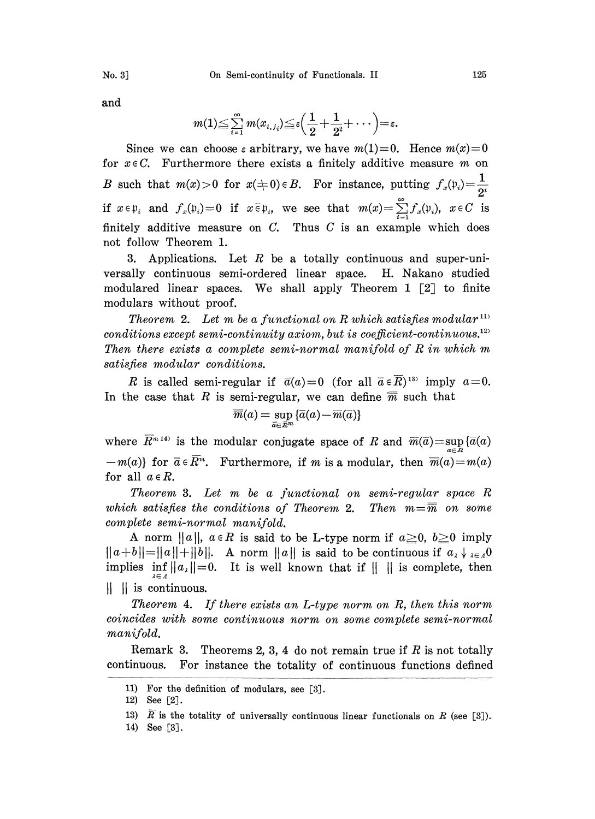and

$$
m(1) \leq \sum_{i=1}^{\infty} m(x_{i,j_i}) \leq \varepsilon \Big( \frac{1}{2} + \frac{1}{2^2} + \cdots \Big) = \varepsilon.
$$

Since we can choose a arbitrary, we have  $m(1)=0$ . Hence  $m(x)=0$ for  $x \in C$ . Furthermore there exists a finitely additive measure m on B such that  $m(x) > 0$  for  $x(\pm 0) \in B$ . For instance, putting  $f_x(\mathfrak{p}_i) = \frac{1}{2^i}$ if  $x \in \mathfrak{p}_i$  and  $f_x(\mathfrak{p}_i)=0$  if  $x \in \mathfrak{p}_i$ , we see that  $m(x)=\sum_{i=1}^{\infty}f_x(\mathfrak{p}_i)$ ,  $x \in C$  is finitely additive measure on  $C$ . Thus  $C$  is an example which does not follow Theorem 1.

3. Applications. Let  $R$  be a totally continuous and super-universally continuous semi-ordered linear space. H. Nakano studied modulared linear spaces. We shall apply Theorem 1  $\lceil 2 \rceil$  to finite modulars without proof.

Theorem 2. Let m be a functional on R which satisfies modular<sup>111</sup> conditions except semi-continuity axiom, but is coefficient-continuous. $^{12}$ Then there exists <sup>a</sup> complete semi-normal manifold of R in which m satisfies modular conditions.

R is called semi-regular if  $\overline{a}(a)=0$  (for all  $\overline{a} \in \overline{R}$ )<sup>13)</sup> imply  $a=0$ . In the case that R is semi-regular, we can define  $\overline{m}$  such that

$$
\overline{\overline{m}}(a)=\sup_{\overline{a}\in \overline{R}^m}\{\overline{a}(a)-\overline{m}(\overline{a})\}
$$

where  $\overline{R}^{m_1}$ <sup>2</sup> is the modular conjugate space of R and  $\overline{m}(\overline{a}) = \sup_{a \in \overline{R}} {\{\overline{a}(a) \}}$  $-m(a)$  for  $\bar{a} \in \bar{R}^m$ . Furthermore, if m is a modular, then  $\bar{m}(a)=m(a)$ for all  $a \in R$ .

Theorem 3. Let m be <sup>a</sup> functional on semi-regular space R which satisfies the conditions of Theorem 2. Then  $m=\overline{m}$  on some complete semi-normal manifold.

A norm  $||a||$ ,  $a \in R$  is said to be L-type norm if  $a \geq 0$ ,  $b \geq 0$  imply  $||a+b||=||a||+||b||$ . A norm  $||a||$  is said to be continuous if  $a_{\lambda} \downarrow a_{\lambda} = 0$ implies  $\inf_{\lambda \in \Lambda} ||a_{\lambda}|| = 0$ . It is well known that if  $|| ||$  is complete, then  $\parallel \ \parallel$  is continuous.

Theorem 4. If there exists an L-type norm on R, then this norm coincides with some continuous norm on some complete semi-normal manifold.

Remark 3. Theorems 2, 3, 4 do not remain true if  $R$  is not totally continuous. For instance the totality of continuous functions defined

<sup>11)</sup> For the definition of modulars, see [3].

<sup>12)</sup> See [2].

<sup>13)</sup>  $\overline{R}$  is the totality of universally continuous linear functionals on  $R$  (see [3]).

<sup>14)</sup> See [3].